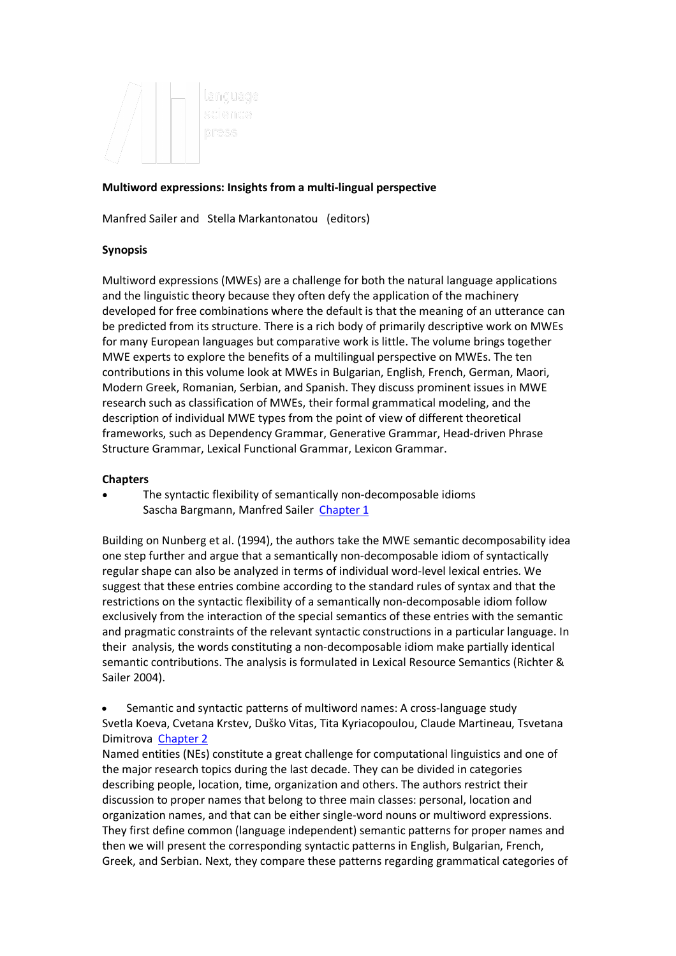

## **Multiword expressions: Insights from a multi-lingual perspective**

Manfred Sailer and Stella Markantonatou (editors)

#### **Synopsis**

Multiword expressions (MWEs) are a challenge for both the natural language applications and the linguistic theory because they often defy the application of the machinery developed for free combinations where the default is that the meaning of an utterance can be predicted from its structure. There is a rich body of primarily descriptive work on MWEs for many European languages but comparative work is little. The volume brings together MWE experts to explore the benefits of a multilingual perspective on MWEs. The ten contributions in this volume look at MWEs in Bulgarian, English, French, German, Maori, Modern Greek, Romanian, Serbian, and Spanish. They discuss prominent issues in MWE research such as classification of MWEs, their formal grammatical modeling, and the description of individual MWE types from the point of view of different theoretical frameworks, such as Dependency Grammar, Generative Grammar, Head-driven Phrase Structure Grammar, Lexical Functional Grammar, Lexicon Grammar.

#### **Chapters**

• The syntactic flexibility of semantically non-decomposable idioms Sascha Bargmann, Manfred Sailer Chapter 1

Building on Nunberg et al. (1994), the authors take the MWE semantic decomposability idea one step further and argue that a semantically non-decomposable idiom of syntactically regular shape can also be analyzed in terms of individual word-level lexical entries. We suggest that these entries combine according to the standard rules of syntax and that the restrictions on the syntactic flexibility of a semantically non-decomposable idiom follow exclusively from the interaction of the special semantics of these entries with the semantic and pragmatic constraints of the relevant syntactic constructions in a particular language. In their analysis, the words constituting a non-decomposable idiom make partially identical semantic contributions. The analysis is formulated in Lexical Resource Semantics (Richter & Sailer 2004).

• Semantic and syntactic patterns of multiword names: A cross-language study Svetla Koeva, Cvetana Krstev, Duško Vitas, Tita Kyriacopoulou, Claude Martineau, Tsvetana Dimitrova Chapter 2

Named entities (NEs) constitute a great challenge for computational linguistics and one of the major research topics during the last decade. They can be divided in categories describing people, location, time, organization and others. The authors restrict their discussion to proper names that belong to three main classes: personal, location and organization names, and that can be either single-word nouns or multiword expressions. They first define common (language independent) semantic patterns for proper names and then we will present the corresponding syntactic patterns in English, Bulgarian, French, Greek, and Serbian. Next, they compare these patterns regarding grammatical categories of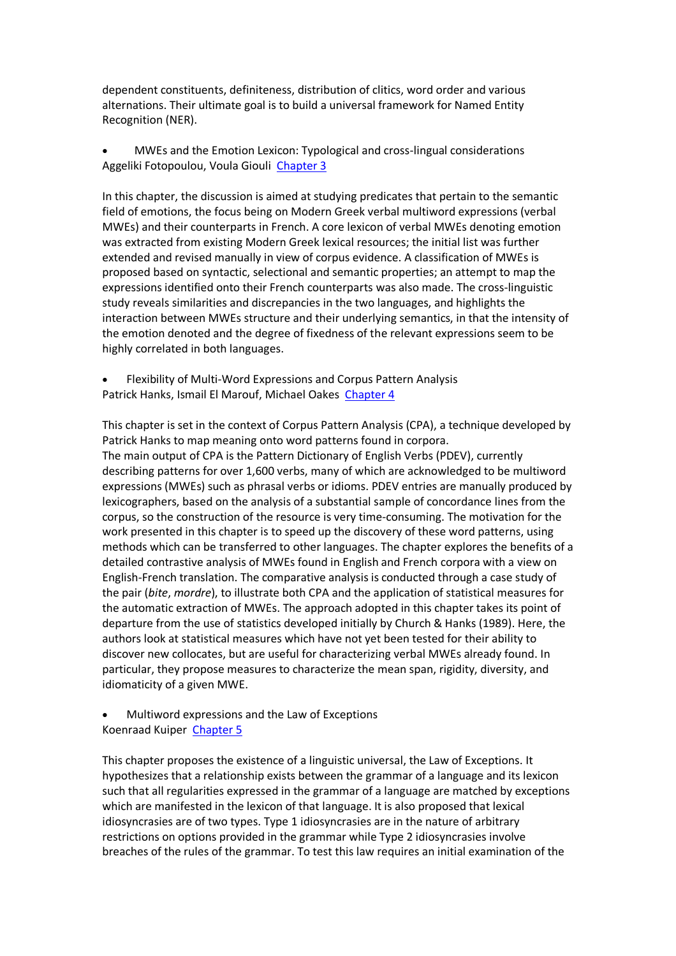dependent constituents, definiteness, distribution of clitics, word order and various alternations. Their ultimate goal is to build a universal framework for Named Entity Recognition (NER).

• MWEs and the Emotion Lexicon: Typological and cross-lingual considerations Aggeliki Fotopoulou, Voula Giouli Chapter 3

In this chapter, the discussion is aimed at studying predicates that pertain to the semantic field of emotions, the focus being on Modern Greek verbal multiword expressions (verbal MWEs) and their counterparts in French. A core lexicon of verbal MWEs denoting emotion was extracted from existing Modern Greek lexical resources; the initial list was further extended and revised manually in view of corpus evidence. A classification of MWEs is proposed based on syntactic, selectional and semantic properties; an attempt to map the expressions identified onto their French counterparts was also made. The cross-linguistic study reveals similarities and discrepancies in the two languages, and highlights the interaction between MWEs structure and their underlying semantics, in that the intensity of the emotion denoted and the degree of fixedness of the relevant expressions seem to be highly correlated in both languages.

• Flexibility of Multi-Word Expressions and Corpus Pattern Analysis Patrick Hanks, Ismail El Marouf, Michael Oakes Chapter 4

This chapter is set in the context of Corpus Pattern Analysis (CPA), a technique developed by Patrick Hanks to map meaning onto word patterns found in corpora. The main output of CPA is the Pattern Dictionary of English Verbs (PDEV), currently describing patterns for over 1,600 verbs, many of which are acknowledged to be multiword expressions (MWEs) such as phrasal verbs or idioms. PDEV entries are manually produced by lexicographers, based on the analysis of a substantial sample of concordance lines from the corpus, so the construction of the resource is very time-consuming. The motivation for the work presented in this chapter is to speed up the discovery of these word patterns, using methods which can be transferred to other languages. The chapter explores the benefits of a detailed contrastive analysis of MWEs found in English and French corpora with a view on English-French translation. The comparative analysis is conducted through a case study of the pair (*bite*, *mordre*), to illustrate both CPA and the application of statistical measures for the automatic extraction of MWEs. The approach adopted in this chapter takes its point of departure from the use of statistics developed initially by Church & Hanks (1989). Here, the authors look at statistical measures which have not yet been tested for their ability to discover new collocates, but are useful for characterizing verbal MWEs already found. In particular, they propose measures to characterize the mean span, rigidity, diversity, and idiomaticity of a given MWE.

• Multiword expressions and the Law of Exceptions Koenraad Kuiper Chapter 5

This chapter proposes the existence of a linguistic universal, the Law of Exceptions. It hypothesizes that a relationship exists between the grammar of a language and its lexicon such that all regularities expressed in the grammar of a language are matched by exceptions which are manifested in the lexicon of that language. It is also proposed that lexical idiosyncrasies are of two types. Type 1 idiosyncrasies are in the nature of arbitrary restrictions on options provided in the grammar while Type 2 idiosyncrasies involve breaches of the rules of the grammar. To test this law requires an initial examination of the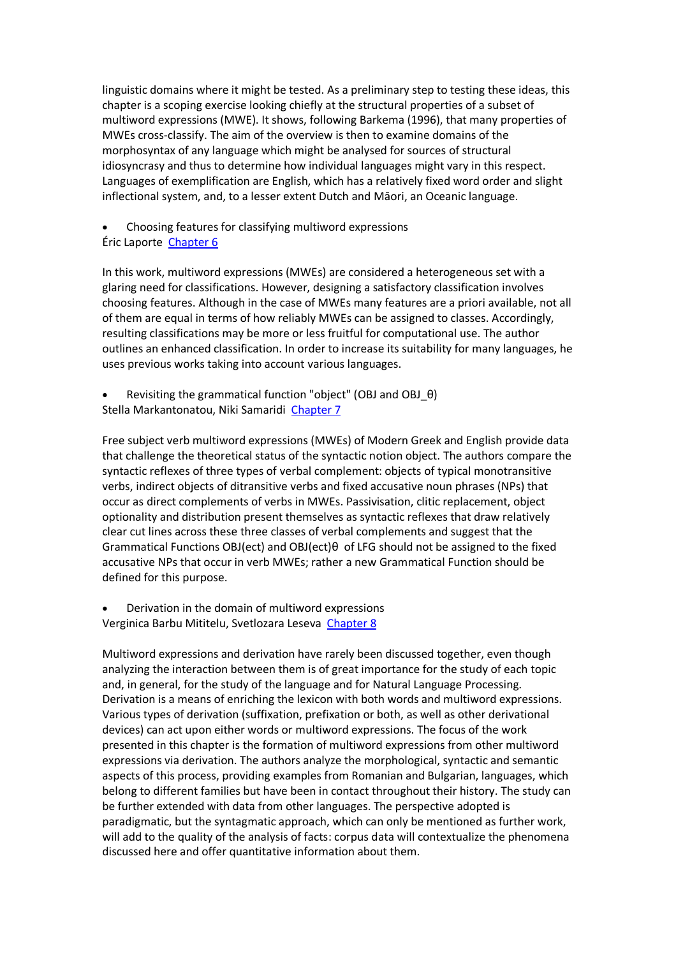linguistic domains where it might be tested. As a preliminary step to testing these ideas, this chapter is a scoping exercise looking chiefly at the structural properties of a subset of multiword expressions (MWE). It shows, following Barkema (1996), that many properties of MWEs cross-classify. The aim of the overview is then to examine domains of the morphosyntax of any language which might be analysed for sources of structural idiosyncrasy and thus to determine how individual languages might vary in this respect. Languages of exemplification are English, which has a relatively fixed word order and slight inflectional system, and, to a lesser extent Dutch and Māori, an Oceanic language.

• Choosing features for classifying multiword expressions Éric Laporte Chapter 6

In this work, multiword expressions (MWEs) are considered a heterogeneous set with a glaring need for classifications. However, designing a satisfactory classification involves choosing features. Although in the case of MWEs many features are a priori available, not all of them are equal in terms of how reliably MWEs can be assigned to classes. Accordingly, resulting classifications may be more or less fruitful for computational use. The author outlines an enhanced classification. In order to increase its suitability for many languages, he uses previous works taking into account various languages.

• Revisiting the grammatical function "object" (OBJ and OBJ\_θ) Stella Markantonatou, Niki Samaridi Chapter 7

Free subject verb multiword expressions (MWEs) of Modern Greek and English provide data that challenge the theoretical status of the syntactic notion object. The authors compare the syntactic reflexes of three types of verbal complement: objects of typical monotransitive verbs, indirect objects of ditransitive verbs and fixed accusative noun phrases (NPs) that occur as direct complements of verbs in MWEs. Passivisation, clitic replacement, object optionality and distribution present themselves as syntactic reflexes that draw relatively clear cut lines across these three classes of verbal complements and suggest that the Grammatical Functions OBJ(ect) and OBJ(ect)θ of LFG should not be assigned to the fixed accusative NPs that occur in verb MWEs; rather a new Grammatical Function should be defined for this purpose.

• Derivation in the domain of multiword expressions Verginica Barbu Mititelu, Svetlozara Leseva Chapter 8

Multiword expressions and derivation have rarely been discussed together, even though analyzing the interaction between them is of great importance for the study of each topic and, in general, for the study of the language and for Natural Language Processing. Derivation is a means of enriching the lexicon with both words and multiword expressions. Various types of derivation (suffixation, prefixation or both, as well as other derivational devices) can act upon either words or multiword expressions. The focus of the work presented in this chapter is the formation of multiword expressions from other multiword expressions via derivation. The authors analyze the morphological, syntactic and semantic aspects of this process, providing examples from Romanian and Bulgarian, languages, which belong to different families but have been in contact throughout their history. The study can be further extended with data from other languages. The perspective adopted is paradigmatic, but the syntagmatic approach, which can only be mentioned as further work, will add to the quality of the analysis of facts: corpus data will contextualize the phenomena discussed here and offer quantitative information about them.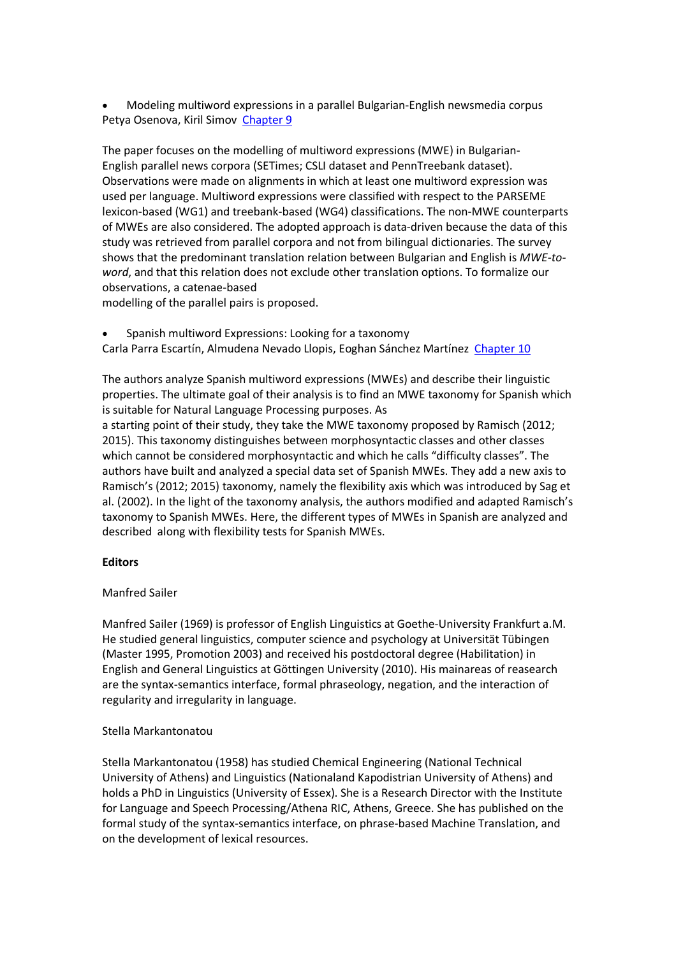• Modeling multiword expressions in a parallel Bulgarian-English newsmedia corpus Petya Osenova, Kiril Simov Chapter 9

The paper focuses on the modelling of multiword expressions (MWE) in Bulgarian-English parallel news corpora (SETimes; CSLI dataset and PennTreebank dataset). Observations were made on alignments in which at least one multiword expression was used per language. Multiword expressions were classified with respect to the PARSEME lexicon-based (WG1) and treebank-based (WG4) classifications. The non-MWE counterparts of MWEs are also considered. The adopted approach is data-driven because the data of this study was retrieved from parallel corpora and not from bilingual dictionaries. The survey shows that the predominant translation relation between Bulgarian and English is *MWE-toword*, and that this relation does not exclude other translation options. To formalize our observations, a catenae-based

modelling of the parallel pairs is proposed.

• Spanish multiword Expressions: Looking for a taxonomy

Carla Parra Escartín, Almudena Nevado Llopis, Eoghan Sánchez Martínez Chapter 10

The authors analyze Spanish multiword expressions (MWEs) and describe their linguistic properties. The ultimate goal of their analysis is to find an MWE taxonomy for Spanish which is suitable for Natural Language Processing purposes. As

a starting point of their study, they take the MWE taxonomy proposed by Ramisch (2012; 2015). This taxonomy distinguishes between morphosyntactic classes and other classes which cannot be considered morphosyntactic and which he calls "difficulty classes". The authors have built and analyzed a special data set of Spanish MWEs. They add a new axis to Ramisch's (2012; 2015) taxonomy, namely the flexibility axis which was introduced by Sag et al. (2002). In the light of the taxonomy analysis, the authors modified and adapted Ramisch's taxonomy to Spanish MWEs. Here, the different types of MWEs in Spanish are analyzed and described along with flexibility tests for Spanish MWEs.

## **Editors**

## Manfred Sailer

Manfred Sailer (1969) is professor of English Linguistics at Goethe-University Frankfurt a.M. He studied general linguistics, computer science and psychology at Universität Tübingen (Master 1995, Promotion 2003) and received his postdoctoral degree (Habilitation) in English and General Linguistics at Göttingen University (2010). His mainareas of reasearch are the syntax-semantics interface, formal phraseology, negation, and the interaction of regularity and irregularity in language.

## Stella Markantonatou

Stella Markantonatou (1958) has studied Chemical Engineering (National Technical University of Athens) and Linguistics (Nationaland Kapodistrian University of Athens) and holds a PhD in Linguistics (University of Essex). She is a Research Director with the Institute for Language and Speech Processing/Athena RIC, Athens, Greece. She has published on the formal study of the syntax-semantics interface, on phrase-based Machine Translation, and on the development of lexical resources.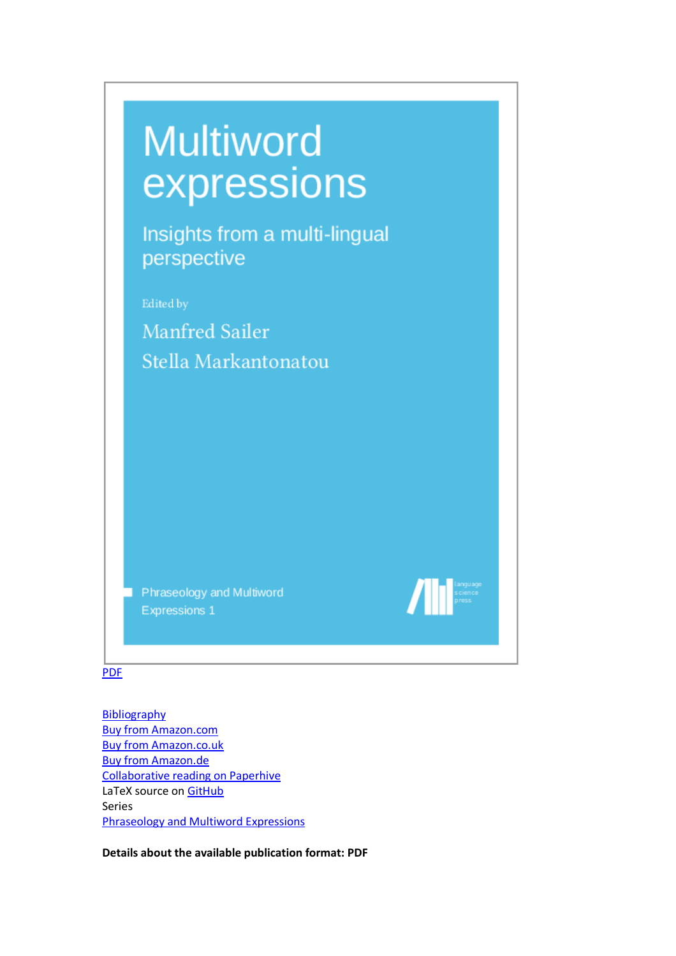| <b>Multiword</b><br>expressions              |  |
|----------------------------------------------|--|
| Insights from a multi-lingual<br>perspective |  |
| Edited by                                    |  |
| <b>Manfred Sailer</b>                        |  |
| Stella Markantonatou                         |  |
|                                              |  |
|                                              |  |
|                                              |  |
|                                              |  |
|                                              |  |
|                                              |  |
| Phraseology and Multiword                    |  |
| <b>Expressions 1</b>                         |  |

# PDF

**Bibliography** Buy from Amazon.com Buy from Amazon.co.uk Buy from Amazon.de Collaborative reading on Paperhive LaTeX source on GitHub Series Phraseology and Multiword Expressions

**Details about the available publication format: PDF**